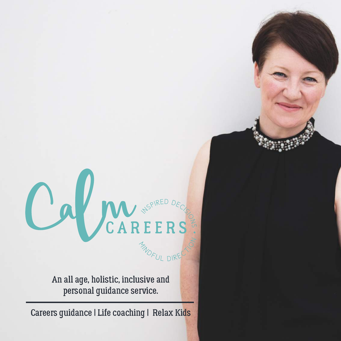

An all age, holistic, inclusive and personal guidance service.

Careers guidance | Life coaching | Relax Kids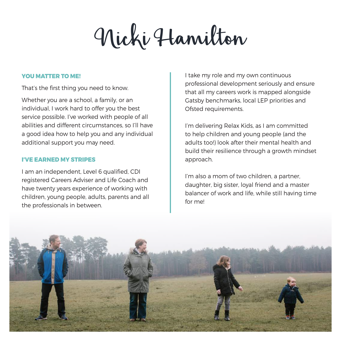Nicki Hamilton

#### **YOU MATTER TO ME!**

That's the first thing you need to know.

Whether you are a school, a family, or an individual, I work hard to offer you the best service possible. I've worked with people of all abilities and different circumstances, so I'll have a good idea how to help you and any individual additional support you may need.

## **I'VE EADNED MY STRIPES**

I am an independent, Level 6 qualified, CDI registered Careers Adviser and Life Coach and have twenty years experience of working with children, young people, adults, parents and all the professionals in between.

I take my role and my own continuous professional development seriously and ensure that all my careers work is mapped alongside Gatsby benchmarks, local LEP priorities and Ofsted requirements.

I'm delivering Relax Kids, as I am committed to help children and young people (and the adults too!) look after their mental health and build their resilience through a growth mindset approach.

I'm also a mom of two children, a partner, daughter, big sister, loyal friend and a master balancer of work and life, while still having time for me!

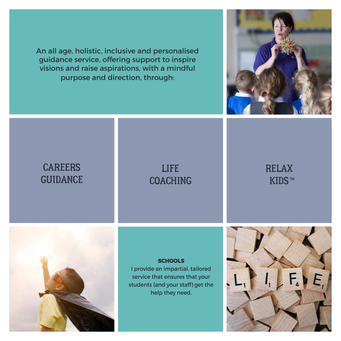An all age, holistic, inclusive and personalised guidance service, offering support to inspire visions and raise aspirations, with a mindful purpose and direction, through:



# CAREERS GUIDANCE

# LIFE COACHING

# RELAX KIDS™



# **SCHOOLS**

I provide an impartial, tailored service that ensures that your students (and your staff) get the help they need.

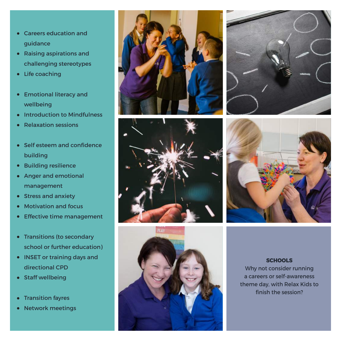- Careers education and guidance
- Raising aspirations and challenging stereotypes
- Life coaching
- Emotional literacy and wellbeing
- Introduction to Mindfulness
- Relaxation sessions
- Self esteem and confidence building
- Building resilience  $\bullet$
- Anger and emotional management
- Stress and anxiety
- Motivation and focus  $\bullet$
- **•** Effective time management
- Transitions (to secondary school or further education)
- INSET or training days and directional CPD
- Staff wellbeing
- Transition fayres
- Network meetings











#### **SCHOOLS**

Why not consider running a careers or self-awareness theme day, with Relax Kids to finish the session?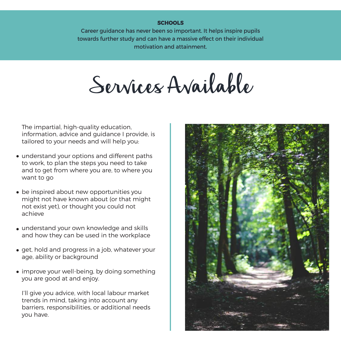#### **SCHOOLS**

Career guidance has never been so important. It helps inspire pupils towards further study and can have a massive effect on their individual motivation and attainment.

Services Available

The impartial, high-quality education, information, advice and guidance I provide, is tailored to your needs and will help you:

- understand your options and different paths to work, to plan the steps you need to take and to get from where you are, to where you want to go
- be inspired about new opportunities you might not have known about (or that might not exist yet), or thought you could not achieve
- understand your own knowledge and skills and how they can be used in the workplace
- get, hold and progress in a job, whatever your age, ability or background
- improve your well-being, by doing something you are good at and enjoy.

I'll give you advice, with local labour market trends in mind, taking into account any barriers, responsibilities, or additional needs you have.

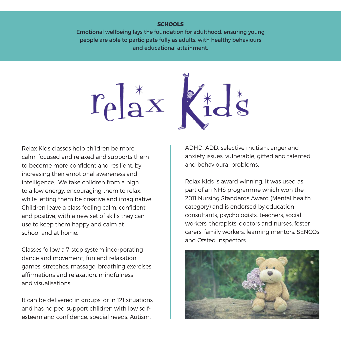#### **SCHOOLS**

Emotional wellbeing lays the foundation for adulthood, ensuring young people are able to participate fully as adults, with healthy behaviours and educational attainment.





Relax Kids classes help children be more calm, focused and relaxed and supports them to become more confident and resilient, by increasing their emotional awareness and intelligence. We take children from a high to a low energy, encouraging them to relax, while letting them be creative and imaginative. Children leave a class feeling calm, confident and positive, with a new set of skills they can use to keep them happy and calm at school and at home.

Classes follow a 7-step system incorporating dance and movement, fun and relaxation games, stretches, massage, breathing exercises, affirmations and relaxation, mindfulness and visualisations.

It can be delivered in groups, or in 121 situations and has helped support children with low selfesteem and confidence, special needs, Autism,

ADHD, ADD, selective mutism, anger and anxiety issues, vulnerable, gifted and talented and behavioural problems.

Relax Kids is award winning. It was used as part of an NHS programme which won the 2011 Nursing Standards Award (Mental health category) and is endorsed by education consultants, psychologists, teachers, social workers, therapists, doctors and nurses, foster carers, family workers, learning mentors, SENCOs and Ofsted inspectors.

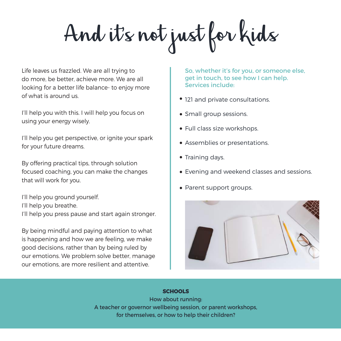And it's not just for kids

Life leaves us frazzled. We are all trying to do more, be better, achieve more. We are all looking for a better life balance- to enjoy more of what is around us.

I'll help you with this. I will help you focus on using your energy wisely.

I'll help you get perspective, or ignite your spark for your future dreams.

By offering practical tips, through solution focused coaching, you can make the changes that will work for you.

I'll help you ground yourself. I'll help you breathe. I'll help you press pause and start again stronger.

By being mindful and paying attention to what is happening and how we are feeling, we make good decisions, rather than by being ruled by our emotions. We problem solve better, manage our emotions, are more resilient and attentive.

So, whether it's for you, or someone else, get in touch, to see how I can help. Services include:

- 121 and private consultations.
- Small group sessions.
- Full class size workshops.
- Assemblies or presentations.
- Training days.
- Evening and weekend classes and sessions.
- Parent support groups.



## **SCHOOLS**

How about running: A teacher or governor wellbeing session, or parent workshops, for themselves, or how to help their children?